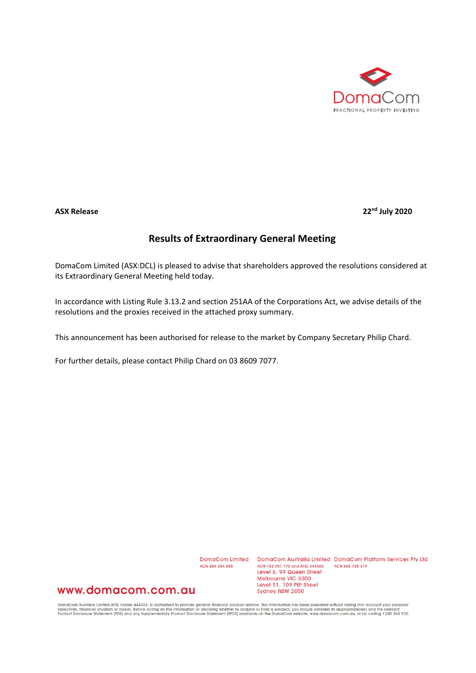

**ASX Release 22nd July 2020**

## **Results of Extraordinary General Meeting**

DomaCom Limited (ASX:DCL) is pleased to advise that shareholders approved the resolutions considered at its Extraordinary General Meeting held today.

In accordance with Listing Rule 3.13.2 and section 251AA of the Corporations Act, we advise details of the resolutions and the proxies received in the attached proxy summary.

This announcement has been authorised for release to the market by Company Secretary Philip Chard.

For further details, please contact Philip Chard on 03 8609 7077.

ACN 604 384 885

DomaCom Limited DomaCom Australia Limited DomaCom Platform Services Pty Ltd ACN 153 951 770 and AFSL 444365 ACN 606 755 319 Level 6, 99 Queen Street Melbourne VIC 3000 Level 11, 109 Pitt Street Sydney NSW 2000

## www.domacom.com.au

DomaCom Australia Limited AFSL holder 444365, is authorised to provide general financial product advice. This information has been prepared without taking into account your personal<br>objectives, financial situation or needs